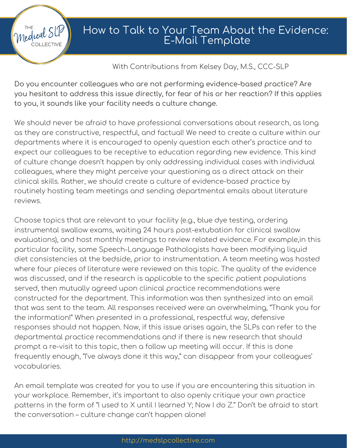### How to Talk to Your Team About the Evidence: E-Mail Template

### With Contributions from Kelsey Day, M.S., CCC-SLP

Do you encounter colleagues who are not performing evidence-based practice? Are you hesitant to address this issue directly, for fear of his or her reaction? If this applies to you, it sounds like your facility needs a culture change.

medical SU

**OLLECTIVE** 

We should never be afraid to have professional conversations about research, as long as they are constructive, respectful, and factual! We need to create a culture within our departments where it is encouraged to openly question each other's practice and to expect our colleagues to be receptive to education regarding new evidence. This kind of culture change doesn't happen by only addressing individual cases with individual colleagues, where they might perceive your questioning as a direct attack on their clinical skills. Rather, we should create a culture of evidence-based practice by routinely hosting team meetings and sending departmental emails about literature reviews.

Choose topics that are relevant to your facility (e.g., blue dye testing, ordering instrumental swallow exams, waiting 24 hours post-extubation for clinical swallow evaluations), and host monthly meetings to review related evidence. For example,in this particular facility, some Speech-Language Pathologists have been modifying liquid diet consistencies at the bedside, prior to instrumentation. A team meeting was hosted where four pieces of literature were reviewed on this topic. The quality of the evidence was discussed, and if the research is applicable to the specific patient populations served, then mutually agreed upon clinical practice recommendations were constructed for the department. This information was then synthesized into an email that was sent to the team. All responses received were an overwhelming, "Thank you for the information!" When presented in a professional, respectful way, defensive responses should not happen. Now, if this issue arises again, the SLPs can refer to the departmental practice recommendations and if there is new research that should prompt a re-visit to this topic, then a follow up meeting will occur. If this is done frequently enough, "I've always done it this way," can disappear from your colleagues' vocabularies.

An email template was created for you to use if you are encountering this situation in your workplace. Remember, it's important to also openly critique your own practice patterns in the form of "I used to X until I learned Y; Now I do Z." Don't be afraid to start the conversation – culture change can't happen alone!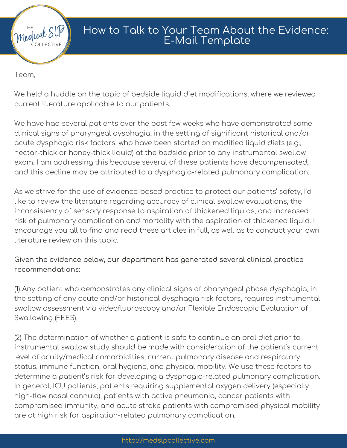

## How to Talk to Your Team About the Evidence: E-Mail Template

Team,

We held a huddle on the topic of bedside liquid diet modifications, where we reviewed current literature applicable to our patients.

We have had several patients over the past few weeks who have demonstrated some clinical signs of pharyngeal dysphagia, in the setting of significant historical and/or acute dysphagia risk factors, who have been started on modified liquid diets (e.g., nectar-thick or honey-thick liquid) at the bedside prior to any instrumental swallow exam. I am addressing this because several of these patients have decompensated, and this decline may be attributed to a dysphagia-related pulmonary complication.

As we strive for the use of evidence-based practice to protect our patients' safety, I'd like to review the literature regarding accuracy of clinical swallow evaluations, the inconsistency of sensory response to aspiration of thickened liquids, and increased risk of pulmonary complication and mortality with the aspiration of thickened liquid. I encourage you all to find and read these articles in full, as well as to conduct your own literature review on this topic.

Given the evidence below, our department has generated several clinical practice recommendations:

(1) Any patient who demonstrates any clinical signs of pharyngeal phase dysphagia, in the setting of any acute and/or historical dysphagia risk factors, requires instrumental swallow assessment via videofluoroscopy and/or Flexible Endoscopic Evaluation of Swallowing (FEES).

(2) The determination of whether a patient is safe to continue an oral diet prior to instrumental swallow study should be made with consideration of the patient's current level of acuity/medical comorbidities, current pulmonary disease and respiratory status, immune function, oral hygiene, and physical mobility. We use these factors to determine a patient's risk for developing a dysphagia-related pulmonary complication. In general, ICU patients, patients requiring supplemental oxygen delivery (especially high-flow nasal cannula), patients with active pneumonia, cancer patients with compromised immunity, and acute stroke patients with compromised physical mobility are at high risk for aspiration-related pulmonary complication.